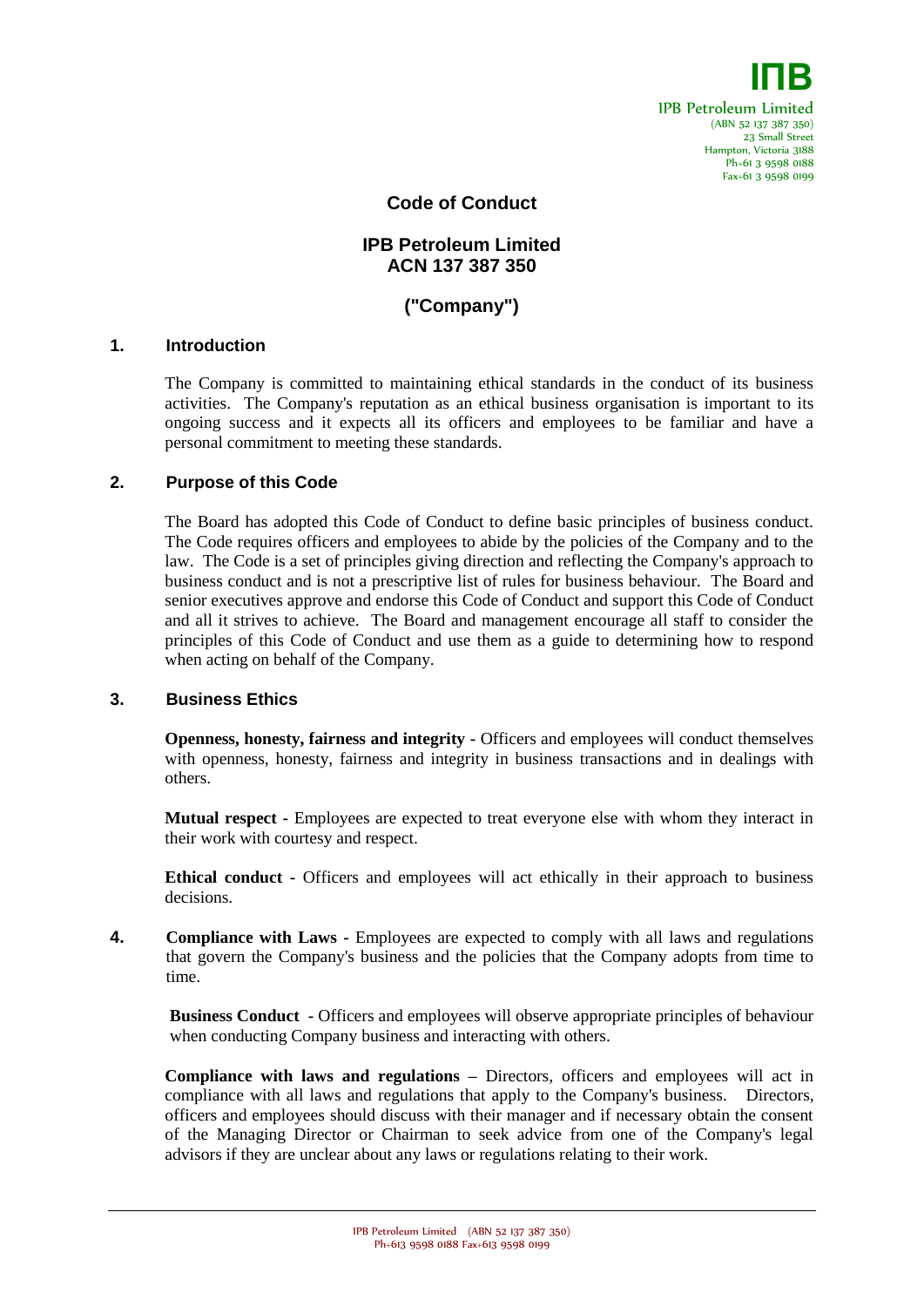

**Code of Conduct**

# **IPB Petroleum Limited ACN 137 387 350**

# **("Company")**

#### **1. Introduction**

The Company is committed to maintaining ethical standards in the conduct of its business activities. The Company's reputation as an ethical business organisation is important to its ongoing success and it expects all its officers and employees to be familiar and have a personal commitment to meeting these standards.

## **2. Purpose of this Code**

The Board has adopted this Code of Conduct to define basic principles of business conduct. The Code requires officers and employees to abide by the policies of the Company and to the law. The Code is a set of principles giving direction and reflecting the Company's approach to business conduct and is not a prescriptive list of rules for business behaviour. The Board and senior executives approve and endorse this Code of Conduct and support this Code of Conduct and all it strives to achieve. The Board and management encourage all staff to consider the principles of this Code of Conduct and use them as a guide to determining how to respond when acting on behalf of the Company.

#### **3. Business Ethics**

**Openness, honesty, fairness and integrity -** Officers and employees will conduct themselves with openness, honesty, fairness and integrity in business transactions and in dealings with others.

**Mutual respect -** Employees are expected to treat everyone else with whom they interact in their work with courtesy and respect.

**Ethical conduct -** Officers and employees will act ethically in their approach to business decisions.

**4. Compliance with Laws -** Employees are expected to comply with all laws and regulations that govern the Company's business and the policies that the Company adopts from time to time.

**Business Conduct -** Officers and employees will observe appropriate principles of behaviour when conducting Company business and interacting with others.

**Compliance with laws and regulations –** Directors, officers and employees will act in compliance with all laws and regulations that apply to the Company's business. Directors, officers and employees should discuss with their manager and if necessary obtain the consent of the Managing Director or Chairman to seek advice from one of the Company's legal advisors if they are unclear about any laws or regulations relating to their work.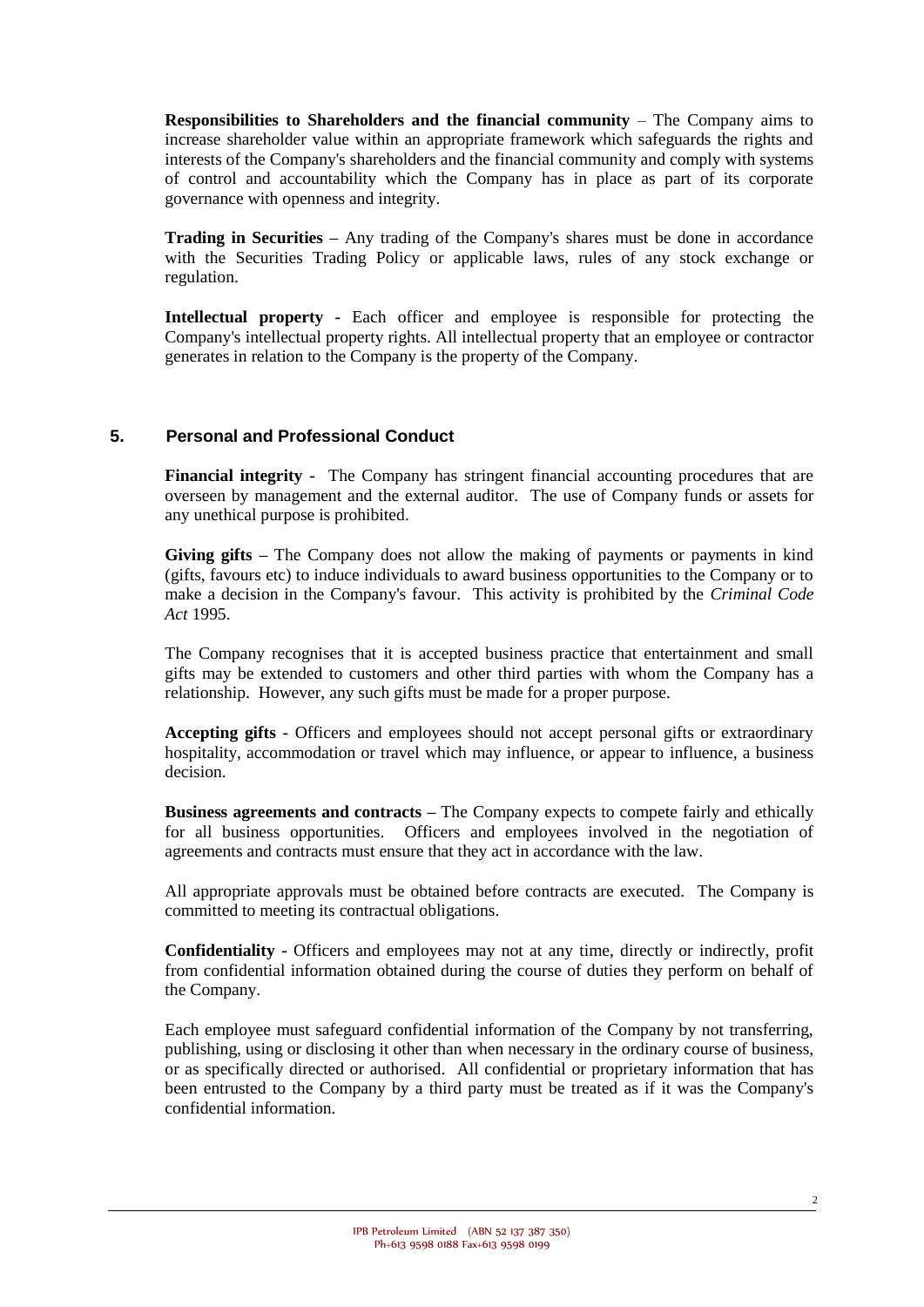**Responsibilities to Shareholders and the financial community** – The Company aims to increase shareholder value within an appropriate framework which safeguards the rights and interests of the Company's shareholders and the financial community and comply with systems of control and accountability which the Company has in place as part of its corporate governance with openness and integrity.

**Trading in Securities –** Any trading of the Company's shares must be done in accordance with the Securities Trading Policy or applicable laws, rules of any stock exchange or regulation.

**Intellectual property -** Each officer and employee is responsible for protecting the Company's intellectual property rights. All intellectual property that an employee or contractor generates in relation to the Company is the property of the Company.

## **5. Personal and Professional Conduct**

**Financial integrity -** The Company has stringent financial accounting procedures that are overseen by management and the external auditor. The use of Company funds or assets for any unethical purpose is prohibited.

**Giving gifts –** The Company does not allow the making of payments or payments in kind (gifts, favours etc) to induce individuals to award business opportunities to the Company or to make a decision in the Company's favour. This activity is prohibited by the *Criminal Code Act* 1995.

The Company recognises that it is accepted business practice that entertainment and small gifts may be extended to customers and other third parties with whom the Company has a relationship. However, any such gifts must be made for a proper purpose.

**Accepting gifts -** Officers and employees should not accept personal gifts or extraordinary hospitality, accommodation or travel which may influence, or appear to influence, a business decision.

**Business agreements and contracts –** The Company expects to compete fairly and ethically for all business opportunities. Officers and employees involved in the negotiation of agreements and contracts must ensure that they act in accordance with the law.

All appropriate approvals must be obtained before contracts are executed. The Company is committed to meeting its contractual obligations.

**Confidentiality -** Officers and employees may not at any time, directly or indirectly, profit from confidential information obtained during the course of duties they perform on behalf of the Company.

Each employee must safeguard confidential information of the Company by not transferring, publishing, using or disclosing it other than when necessary in the ordinary course of business, or as specifically directed or authorised. All confidential or proprietary information that has been entrusted to the Company by a third party must be treated as if it was the Company's confidential information.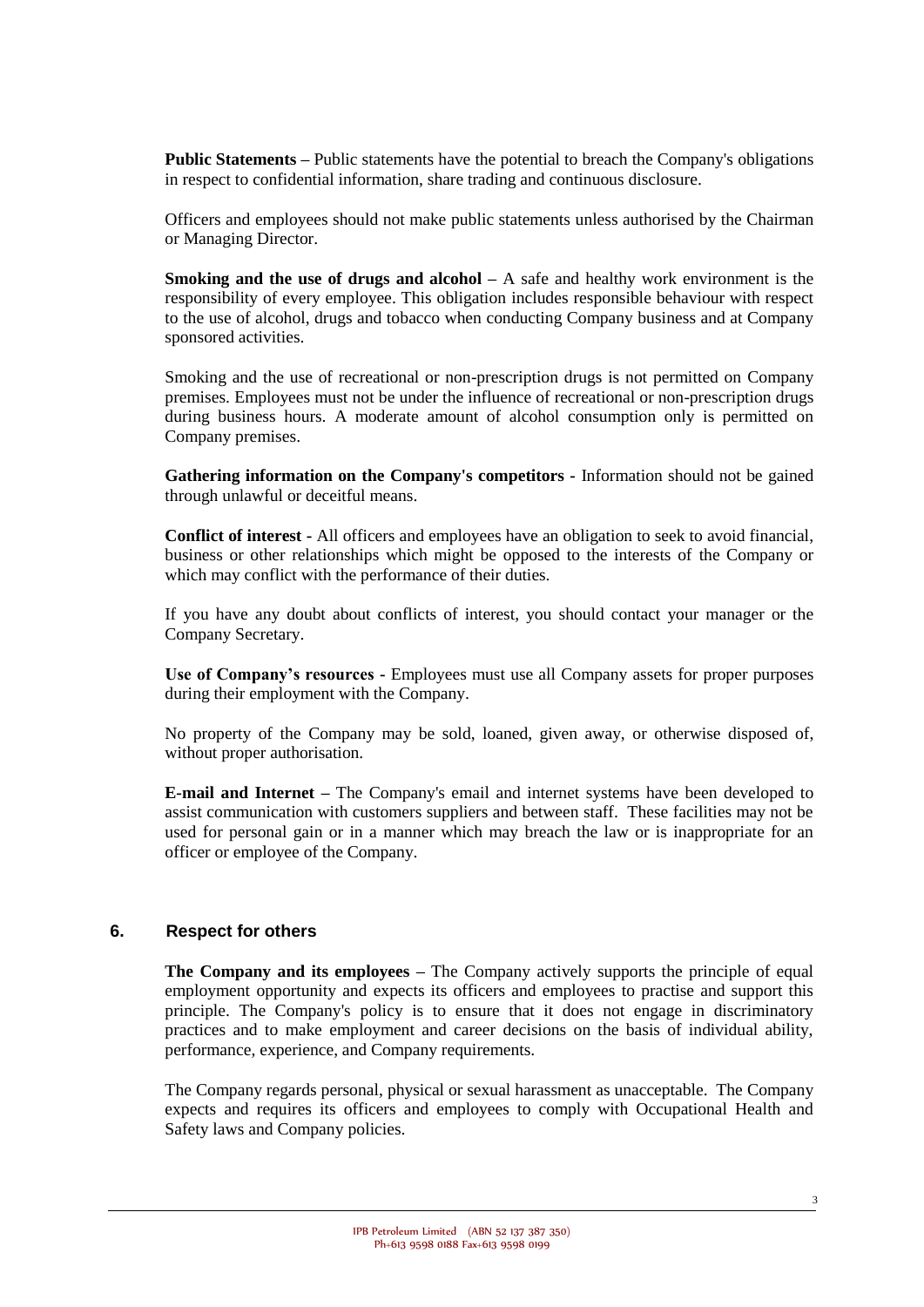**Public Statements –** Public statements have the potential to breach the Company's obligations in respect to confidential information, share trading and continuous disclosure.

Officers and employees should not make public statements unless authorised by the Chairman or Managing Director.

**Smoking and the use of drugs and alcohol** – A safe and healthy work environment is the responsibility of every employee. This obligation includes responsible behaviour with respect to the use of alcohol, drugs and tobacco when conducting Company business and at Company sponsored activities.

Smoking and the use of recreational or non-prescription drugs is not permitted on Company premises. Employees must not be under the influence of recreational or non-prescription drugs during business hours. A moderate amount of alcohol consumption only is permitted on Company premises.

**Gathering information on the Company's competitors -** Information should not be gained through unlawful or deceitful means.

**Conflict of interest -** All officers and employees have an obligation to seek to avoid financial, business or other relationships which might be opposed to the interests of the Company or which may conflict with the performance of their duties.

If you have any doubt about conflicts of interest, you should contact your manager or the Company Secretary.

**Use of Company's resources -** Employees must use all Company assets for proper purposes during their employment with the Company.

No property of the Company may be sold, loaned, given away, or otherwise disposed of, without proper authorisation.

**E-mail and Internet –** The Company's email and internet systems have been developed to assist communication with customers suppliers and between staff. These facilities may not be used for personal gain or in a manner which may breach the law or is inappropriate for an officer or employee of the Company.

#### **6. Respect for others**

**The Company and its employees –** The Company actively supports the principle of equal employment opportunity and expects its officers and employees to practise and support this principle. The Company's policy is to ensure that it does not engage in discriminatory practices and to make employment and career decisions on the basis of individual ability, performance, experience, and Company requirements.

The Company regards personal, physical or sexual harassment as unacceptable. The Company expects and requires its officers and employees to comply with Occupational Health and Safety laws and Company policies.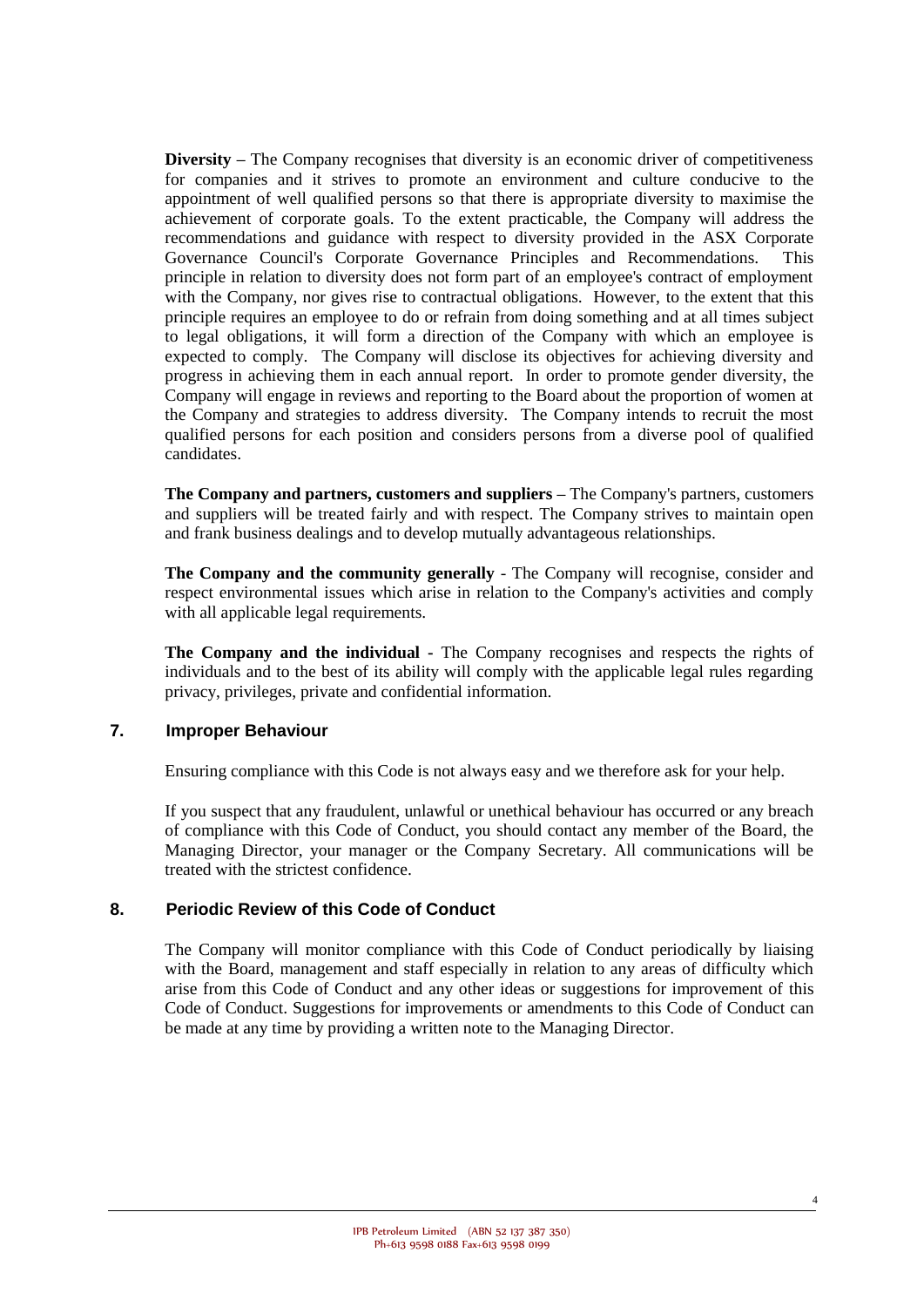**Diversity –** The Company recognises that diversity is an economic driver of competitiveness for companies and it strives to promote an environment and culture conducive to the appointment of well qualified persons so that there is appropriate diversity to maximise the achievement of corporate goals. To the extent practicable, the Company will address the recommendations and guidance with respect to diversity provided in the ASX Corporate Governance Council's Corporate Governance Principles and Recommendations. This principle in relation to diversity does not form part of an employee's contract of employment with the Company, nor gives rise to contractual obligations. However, to the extent that this principle requires an employee to do or refrain from doing something and at all times subject to legal obligations, it will form a direction of the Company with which an employee is expected to comply. The Company will disclose its objectives for achieving diversity and progress in achieving them in each annual report. In order to promote gender diversity, the Company will engage in reviews and reporting to the Board about the proportion of women at the Company and strategies to address diversity. The Company intends to recruit the most qualified persons for each position and considers persons from a diverse pool of qualified candidates.

**The Company and partners, customers and suppliers –** The Company's partners, customers and suppliers will be treated fairly and with respect. The Company strives to maintain open and frank business dealings and to develop mutually advantageous relationships.

**The Company and the community generally** - The Company will recognise, consider and respect environmental issues which arise in relation to the Company's activities and comply with all applicable legal requirements.

**The Company and the individual -** The Company recognises and respects the rights of individuals and to the best of its ability will comply with the applicable legal rules regarding privacy, privileges, private and confidential information.

## **7. Improper Behaviour**

Ensuring compliance with this Code is not always easy and we therefore ask for your help.

If you suspect that any fraudulent, unlawful or unethical behaviour has occurred or any breach of compliance with this Code of Conduct, you should contact any member of the Board, the Managing Director, your manager or the Company Secretary. All communications will be treated with the strictest confidence.

#### **8. Periodic Review of this Code of Conduct**

The Company will monitor compliance with this Code of Conduct periodically by liaising with the Board, management and staff especially in relation to any areas of difficulty which arise from this Code of Conduct and any other ideas or suggestions for improvement of this Code of Conduct. Suggestions for improvements or amendments to this Code of Conduct can be made at any time by providing a written note to the Managing Director.